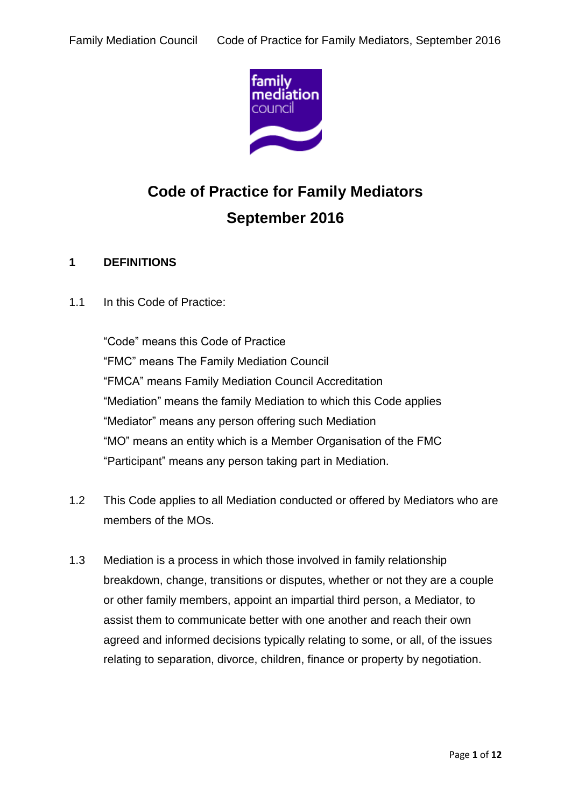

# **Code of Practice for Family Mediators September 2016**

# **1 DEFINITIONS**

1.1 In this Code of Practice:

"Code" means this Code of Practice "FMC" means The Family Mediation Council "FMCA" means Family Mediation Council Accreditation "Mediation" means the family Mediation to which this Code applies "Mediator" means any person offering such Mediation "MO" means an entity which is a Member Organisation of the FMC "Participant" means any person taking part in Mediation.

- 1.2 This Code applies to all Mediation conducted or offered by Mediators who are members of the MOs.
- 1.3 Mediation is a process in which those involved in family relationship breakdown, change, transitions or disputes, whether or not they are a couple or other family members, appoint an impartial third person, a Mediator, to assist them to communicate better with one another and reach their own agreed and informed decisions typically relating to some, or all, of the issues relating to separation, divorce, children, finance or property by negotiation.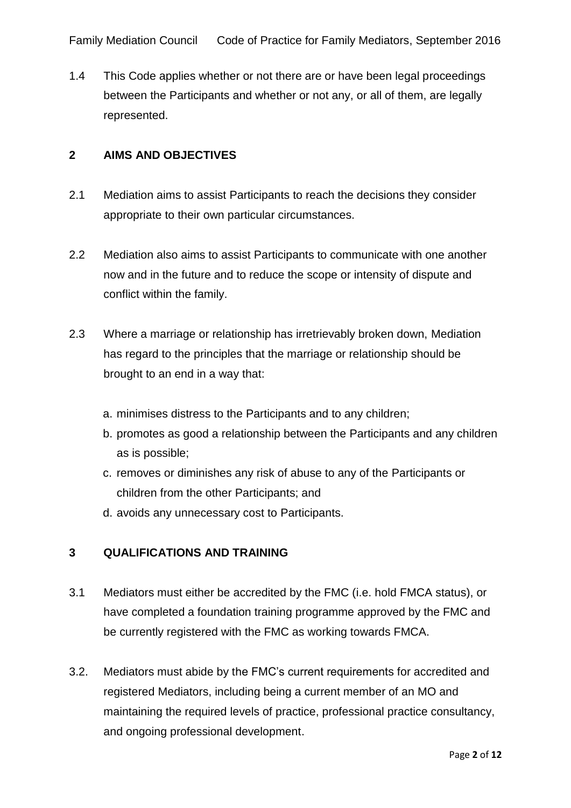1.4 This Code applies whether or not there are or have been legal proceedings between the Participants and whether or not any, or all of them, are legally represented.

## **2 AIMS AND OBJECTIVES**

- 2.1 Mediation aims to assist Participants to reach the decisions they consider appropriate to their own particular circumstances.
- 2.2 Mediation also aims to assist Participants to communicate with one another now and in the future and to reduce the scope or intensity of dispute and conflict within the family.
- 2.3 Where a marriage or relationship has irretrievably broken down, Mediation has regard to the principles that the marriage or relationship should be brought to an end in a way that:
	- a. minimises distress to the Participants and to any children;
	- b. promotes as good a relationship between the Participants and any children as is possible;
	- c. removes or diminishes any risk of abuse to any of the Participants or children from the other Participants; and
	- d. avoids any unnecessary cost to Participants.

# **3 QUALIFICATIONS AND TRAINING**

- 3.1 Mediators must either be accredited by the FMC (i.e. hold FMCA status), or have completed a foundation training programme approved by the FMC and be currently registered with the FMC as working towards FMCA.
- 3.2. Mediators must abide by the FMC's current requirements for accredited and registered Mediators, including being a current member of an MO and maintaining the required levels of practice, professional practice consultancy, and ongoing professional development.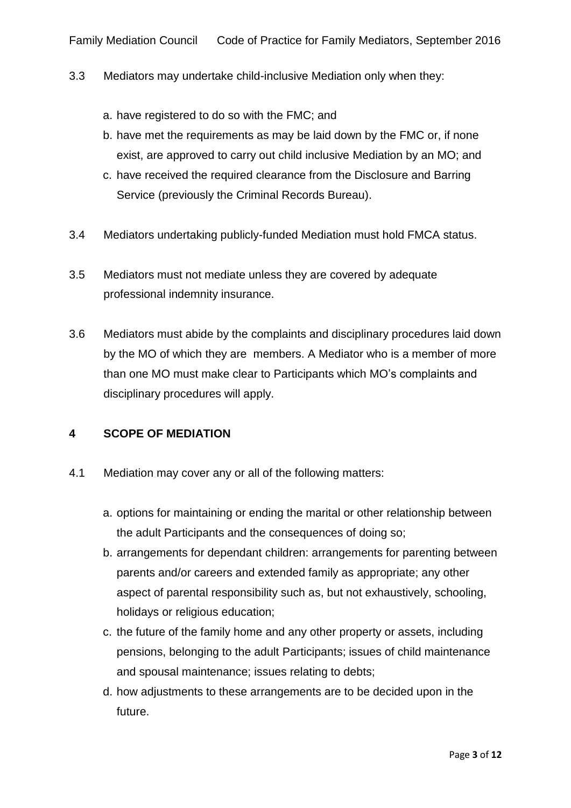- 3.3 Mediators may undertake child-inclusive Mediation only when they:
	- a. have registered to do so with the FMC; and
	- b. have met the requirements as may be laid down by the FMC or, if none exist, are approved to carry out child inclusive Mediation by an MO; and
	- c. have received the required clearance from the Disclosure and Barring Service (previously the Criminal Records Bureau).
- 3.4 Mediators undertaking publicly-funded Mediation must hold FMCA status.
- 3.5 Mediators must not mediate unless they are covered by adequate professional indemnity insurance.
- 3.6 Mediators must abide by the complaints and disciplinary procedures laid down by the MO of which they are members. A Mediator who is a member of more than one MO must make clear to Participants which MO's complaints and disciplinary procedures will apply.

#### **4 SCOPE OF MEDIATION**

- 4.1 Mediation may cover any or all of the following matters:
	- a. options for maintaining or ending the marital or other relationship between the adult Participants and the consequences of doing so;
	- b. arrangements for dependant children: arrangements for parenting between parents and/or careers and extended family as appropriate; any other aspect of parental responsibility such as, but not exhaustively, schooling, holidays or religious education;
	- c. the future of the family home and any other property or assets, including pensions, belonging to the adult Participants; issues of child maintenance and spousal maintenance; issues relating to debts;
	- d. how adjustments to these arrangements are to be decided upon in the future.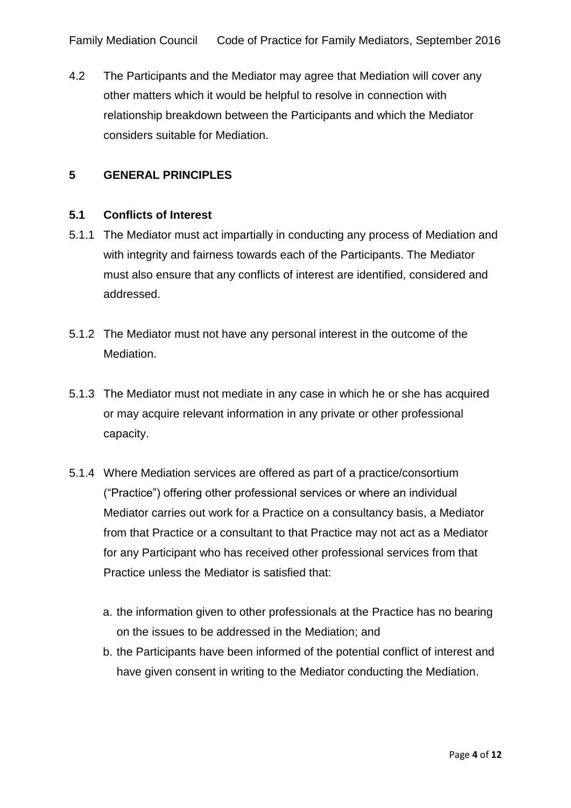4.2 The Participants and the Mediator may agree that Mediation will cover any other matters which it would be helpful to resolve in connection with relationship breakdown between the Participants and which the Mediator considers suitable for Mediation.

# **5 GENERAL PRINCIPLES**

#### **5.1 Conflicts of Interest**

- 5.1.1 The Mediator must act impartially in conducting any process of Mediation and with integrity and fairness towards each of the Participants. The Mediator must also ensure that any conflicts of interest are identified, considered and addressed.
- 5.1.2 The Mediator must not have any personal interest in the outcome of the Mediation.
- 5.1.3 The Mediator must not mediate in any case in which he or she has acquired or may acquire relevant information in any private or other professional capacity.
- 5.1.4 Where Mediation services are offered as part of a practice/consortium ("Practice") offering other professional services or where an individual Mediator carries out work for a Practice on a consultancy basis, a Mediator from that Practice or a consultant to that Practice may not act as a Mediator for any Participant who has received other professional services from that Practice unless the Mediator is satisfied that:
	- a. the information given to other professionals at the Practice has no bearing on the issues to be addressed in the Mediation; and
	- b. the Participants have been informed of the potential conflict of interest and have given consent in writing to the Mediator conducting the Mediation.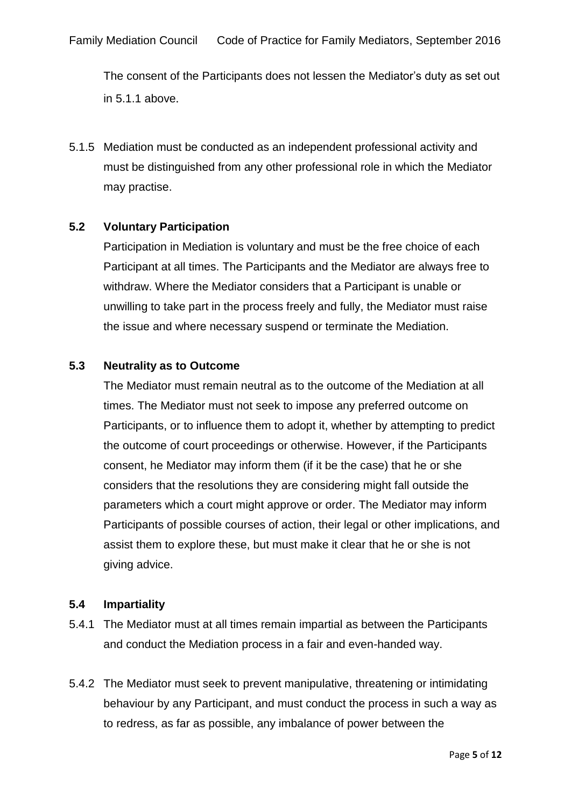The consent of the Participants does not lessen the Mediator's duty as set out in 5.1.1 above.

5.1.5 Mediation must be conducted as an independent professional activity and must be distinguished from any other professional role in which the Mediator may practise.

## **5.2 Voluntary Participation**

Participation in Mediation is voluntary and must be the free choice of each Participant at all times. The Participants and the Mediator are always free to withdraw. Where the Mediator considers that a Participant is unable or unwilling to take part in the process freely and fully, the Mediator must raise the issue and where necessary suspend or terminate the Mediation.

#### **5.3 Neutrality as to Outcome**

The Mediator must remain neutral as to the outcome of the Mediation at all times. The Mediator must not seek to impose any preferred outcome on Participants, or to influence them to adopt it, whether by attempting to predict the outcome of court proceedings or otherwise. However, if the Participants consent, he Mediator may inform them (if it be the case) that he or she considers that the resolutions they are considering might fall outside the parameters which a court might approve or order. The Mediator may inform Participants of possible courses of action, their legal or other implications, and assist them to explore these, but must make it clear that he or she is not giving advice.

#### **5.4 Impartiality**

- 5.4.1 The Mediator must at all times remain impartial as between the Participants and conduct the Mediation process in a fair and even-handed way.
- 5.4.2 The Mediator must seek to prevent manipulative, threatening or intimidating behaviour by any Participant, and must conduct the process in such a way as to redress, as far as possible, any imbalance of power between the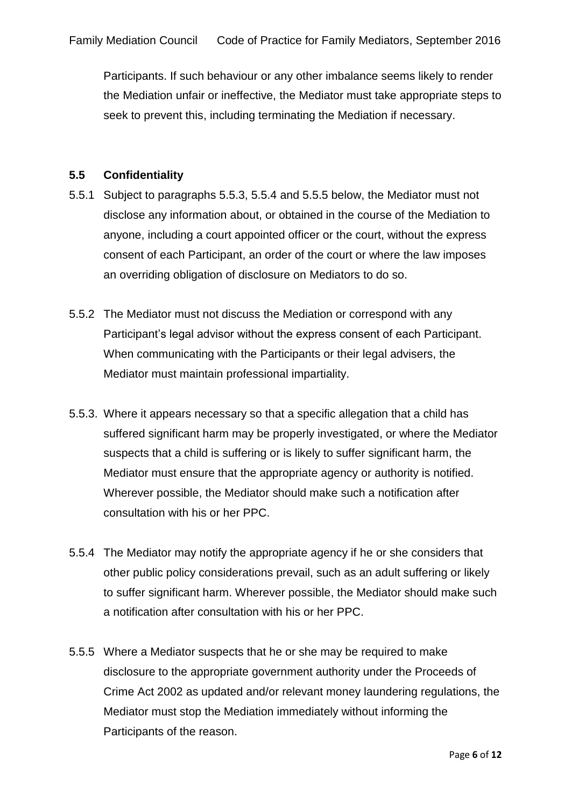Participants. If such behaviour or any other imbalance seems likely to render the Mediation unfair or ineffective, the Mediator must take appropriate steps to seek to prevent this, including terminating the Mediation if necessary.

#### **5.5 Confidentiality**

- 5.5.1 Subject to paragraphs 5.5.3, 5.5.4 and 5.5.5 below, the Mediator must not disclose any information about, or obtained in the course of the Mediation to anyone, including a court appointed officer or the court, without the express consent of each Participant, an order of the court or where the law imposes an overriding obligation of disclosure on Mediators to do so.
- 5.5.2 The Mediator must not discuss the Mediation or correspond with any Participant's legal advisor without the express consent of each Participant. When communicating with the Participants or their legal advisers, the Mediator must maintain professional impartiality.
- 5.5.3. Where it appears necessary so that a specific allegation that a child has suffered significant harm may be properly investigated, or where the Mediator suspects that a child is suffering or is likely to suffer significant harm, the Mediator must ensure that the appropriate agency or authority is notified. Wherever possible, the Mediator should make such a notification after consultation with his or her PPC.
- 5.5.4 The Mediator may notify the appropriate agency if he or she considers that other public policy considerations prevail, such as an adult suffering or likely to suffer significant harm. Wherever possible, the Mediator should make such a notification after consultation with his or her PPC.
- 5.5.5 Where a Mediator suspects that he or she may be required to make disclosure to the appropriate government authority under the Proceeds of Crime Act 2002 as updated and/or relevant money laundering regulations, the Mediator must stop the Mediation immediately without informing the Participants of the reason.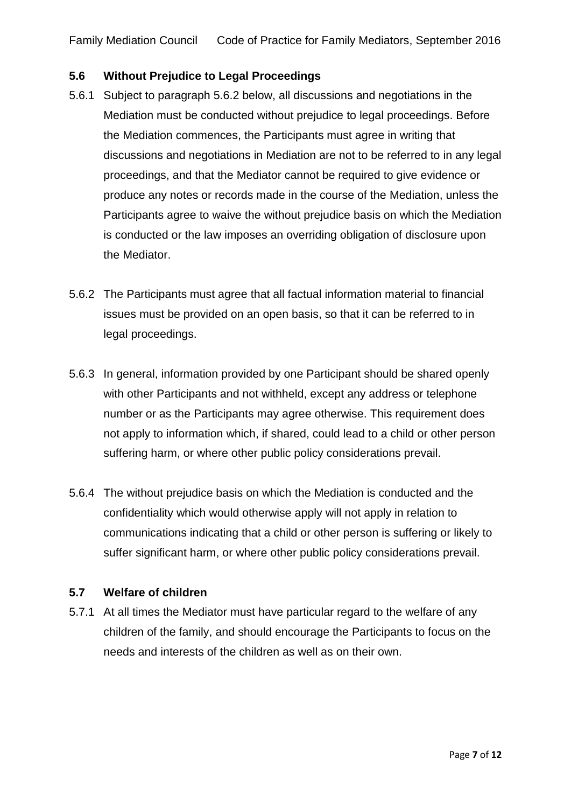## **5.6 Without Prejudice to Legal Proceedings**

- 5.6.1 Subject to paragraph 5.6.2 below, all discussions and negotiations in the Mediation must be conducted without prejudice to legal proceedings. Before the Mediation commences, the Participants must agree in writing that discussions and negotiations in Mediation are not to be referred to in any legal proceedings, and that the Mediator cannot be required to give evidence or produce any notes or records made in the course of the Mediation, unless the Participants agree to waive the without prejudice basis on which the Mediation is conducted or the law imposes an overriding obligation of disclosure upon the Mediator.
- 5.6.2 The Participants must agree that all factual information material to financial issues must be provided on an open basis, so that it can be referred to in legal proceedings.
- 5.6.3 In general, information provided by one Participant should be shared openly with other Participants and not withheld, except any address or telephone number or as the Participants may agree otherwise. This requirement does not apply to information which, if shared, could lead to a child or other person suffering harm, or where other public policy considerations prevail.
- 5.6.4 The without prejudice basis on which the Mediation is conducted and the confidentiality which would otherwise apply will not apply in relation to communications indicating that a child or other person is suffering or likely to suffer significant harm, or where other public policy considerations prevail.

#### **5.7 Welfare of children**

5.7.1 At all times the Mediator must have particular regard to the welfare of any children of the family, and should encourage the Participants to focus on the needs and interests of the children as well as on their own.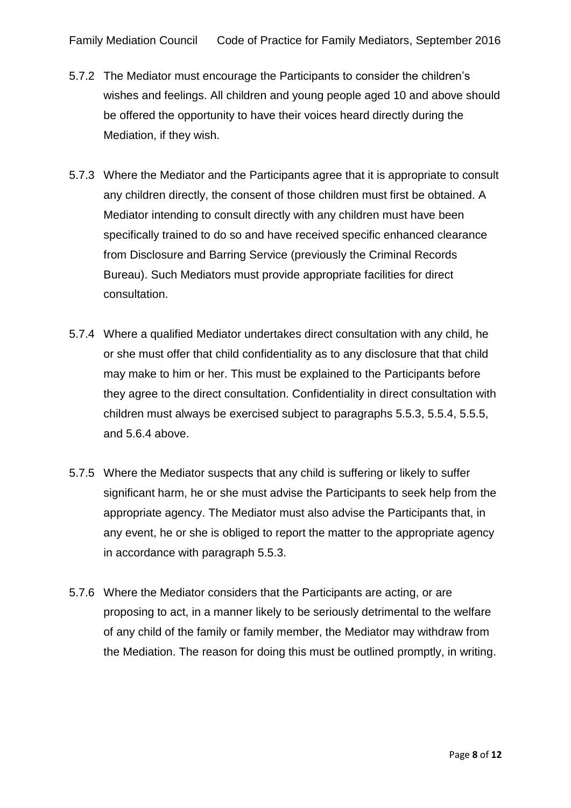- 5.7.2 The Mediator must encourage the Participants to consider the children's wishes and feelings. All children and young people aged 10 and above should be offered the opportunity to have their voices heard directly during the Mediation, if they wish.
- 5.7.3 Where the Mediator and the Participants agree that it is appropriate to consult any children directly, the consent of those children must first be obtained. A Mediator intending to consult directly with any children must have been specifically trained to do so and have received specific enhanced clearance from Disclosure and Barring Service (previously the Criminal Records Bureau). Such Mediators must provide appropriate facilities for direct consultation.
- 5.7.4 Where a qualified Mediator undertakes direct consultation with any child, he or she must offer that child confidentiality as to any disclosure that that child may make to him or her. This must be explained to the Participants before they agree to the direct consultation. Confidentiality in direct consultation with children must always be exercised subject to paragraphs 5.5.3, 5.5.4, 5.5.5, and 5.6.4 above.
- 5.7.5 Where the Mediator suspects that any child is suffering or likely to suffer significant harm, he or she must advise the Participants to seek help from the appropriate agency. The Mediator must also advise the Participants that, in any event, he or she is obliged to report the matter to the appropriate agency in accordance with paragraph 5.5.3.
- 5.7.6 Where the Mediator considers that the Participants are acting, or are proposing to act, in a manner likely to be seriously detrimental to the welfare of any child of the family or family member, the Mediator may withdraw from the Mediation. The reason for doing this must be outlined promptly, in writing.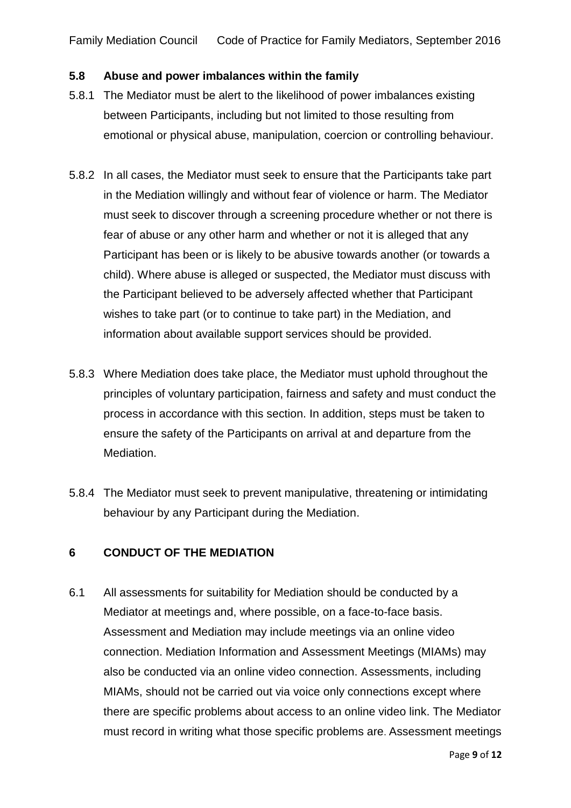#### **5.8 Abuse and power imbalances within the family**

- 5.8.1 The Mediator must be alert to the likelihood of power imbalances existing between Participants, including but not limited to those resulting from emotional or physical abuse, manipulation, coercion or controlling behaviour.
- 5.8.2 In all cases, the Mediator must seek to ensure that the Participants take part in the Mediation willingly and without fear of violence or harm. The Mediator must seek to discover through a screening procedure whether or not there is fear of abuse or any other harm and whether or not it is alleged that any Participant has been or is likely to be abusive towards another (or towards a child). Where abuse is alleged or suspected, the Mediator must discuss with the Participant believed to be adversely affected whether that Participant wishes to take part (or to continue to take part) in the Mediation, and information about available support services should be provided.
- 5.8.3 Where Mediation does take place, the Mediator must uphold throughout the principles of voluntary participation, fairness and safety and must conduct the process in accordance with this section. In addition, steps must be taken to ensure the safety of the Participants on arrival at and departure from the Mediation.
- 5.8.4 The Mediator must seek to prevent manipulative, threatening or intimidating behaviour by any Participant during the Mediation.

## **6 CONDUCT OF THE MEDIATION**

6.1 All assessments for suitability for Mediation should be conducted by a Mediator at meetings and, where possible, on a face-to-face basis. Assessment and Mediation may include meetings via an online video connection. Mediation Information and Assessment Meetings (MIAMs) may also be conducted via an online video connection. Assessments, including MIAMs, should not be carried out via voice only connections except where there are specific problems about access to an online video link. The Mediator must record in writing what those specific problems are. Assessment meetings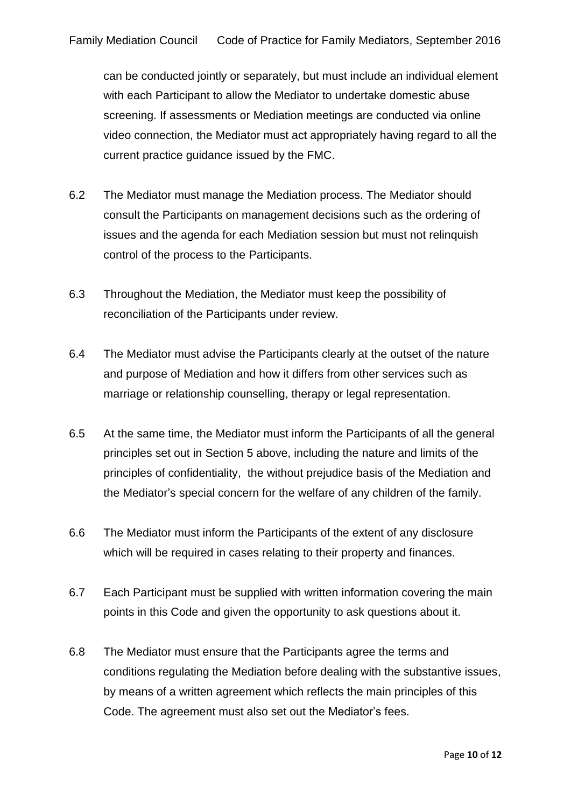can be conducted jointly or separately, but must include an individual element with each Participant to allow the Mediator to undertake domestic abuse screening. If assessments or Mediation meetings are conducted via online video connection, the Mediator must act appropriately having regard to all the current practice guidance issued by the FMC.

- 6.2 The Mediator must manage the Mediation process. The Mediator should consult the Participants on management decisions such as the ordering of issues and the agenda for each Mediation session but must not relinquish control of the process to the Participants.
- 6.3 Throughout the Mediation, the Mediator must keep the possibility of reconciliation of the Participants under review.
- 6.4 The Mediator must advise the Participants clearly at the outset of the nature and purpose of Mediation and how it differs from other services such as marriage or relationship counselling, therapy or legal representation.
- 6.5 At the same time, the Mediator must inform the Participants of all the general principles set out in Section 5 above, including the nature and limits of the principles of confidentiality, the without prejudice basis of the Mediation and the Mediator's special concern for the welfare of any children of the family.
- 6.6 The Mediator must inform the Participants of the extent of any disclosure which will be required in cases relating to their property and finances.
- 6.7 Each Participant must be supplied with written information covering the main points in this Code and given the opportunity to ask questions about it.
- 6.8 The Mediator must ensure that the Participants agree the terms and conditions regulating the Mediation before dealing with the substantive issues, by means of a written agreement which reflects the main principles of this Code. The agreement must also set out the Mediator's fees.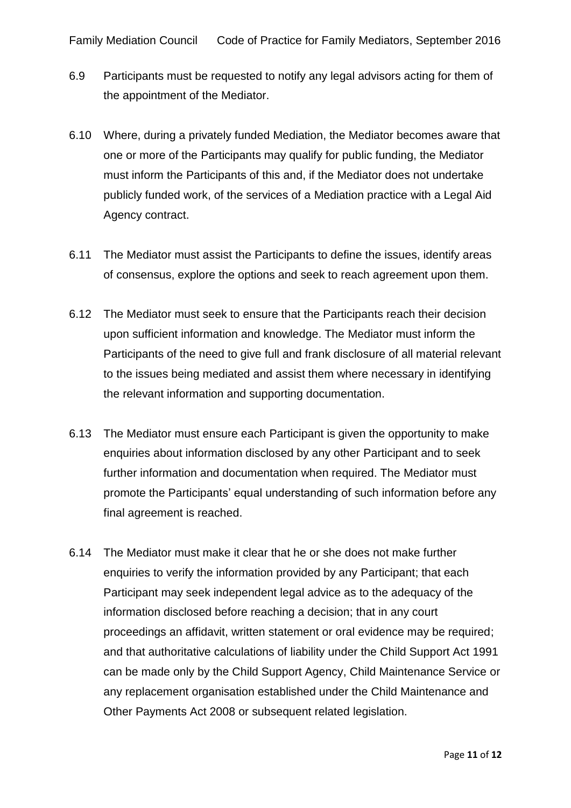- 6.9 Participants must be requested to notify any legal advisors acting for them of the appointment of the Mediator.
- 6.10 Where, during a privately funded Mediation, the Mediator becomes aware that one or more of the Participants may qualify for public funding, the Mediator must inform the Participants of this and, if the Mediator does not undertake publicly funded work, of the services of a Mediation practice with a Legal Aid Agency contract.
- 6.11 The Mediator must assist the Participants to define the issues, identify areas of consensus, explore the options and seek to reach agreement upon them.
- 6.12 The Mediator must seek to ensure that the Participants reach their decision upon sufficient information and knowledge. The Mediator must inform the Participants of the need to give full and frank disclosure of all material relevant to the issues being mediated and assist them where necessary in identifying the relevant information and supporting documentation.
- 6.13 The Mediator must ensure each Participant is given the opportunity to make enquiries about information disclosed by any other Participant and to seek further information and documentation when required. The Mediator must promote the Participants' equal understanding of such information before any final agreement is reached.
- 6.14 The Mediator must make it clear that he or she does not make further enquiries to verify the information provided by any Participant; that each Participant may seek independent legal advice as to the adequacy of the information disclosed before reaching a decision; that in any court proceedings an affidavit, written statement or oral evidence may be required; and that authoritative calculations of liability under the Child Support Act 1991 can be made only by the Child Support Agency, Child Maintenance Service or any replacement organisation established under the Child Maintenance and Other Payments Act 2008 or subsequent related legislation.